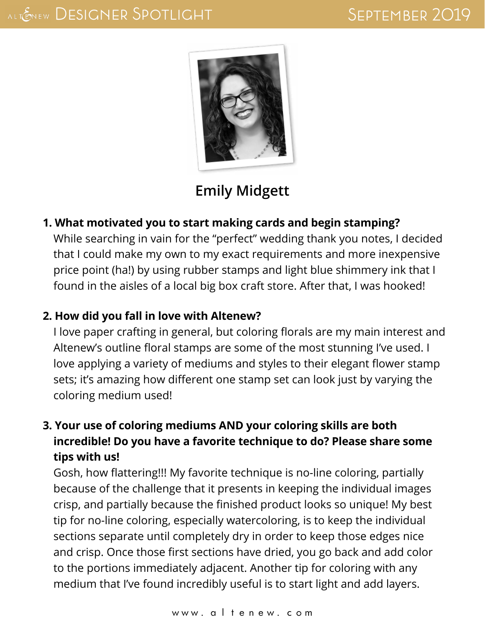

# **[Emily Midgett](http://emilymidgett.com/)**

#### **1. What motivated you to start making cards and begin stamping?**

While searching in vain for the "perfect" wedding thank you notes, I decided that I could make my own to my exact requirements and more inexpensive price point (ha!) by using rubber stamps and light blue shimmery ink that I found in the aisles of a local big box craft store. After that, I was hooked!

### **2. How did you fall in love with Altenew?**

I love paper crafting in general, but coloring florals are my main interest and Altenew's outline floral stamps are some of the most stunning I've used. I love applying a variety of mediums and styles to their elegant flower stamp sets; it's amazing how different one stamp set can look just by varying the coloring medium used!

# **3. Your use of coloring mediums AND your coloring skills are both incredible! Do you have a favorite technique to do? Please share some tips with us!**

Gosh, how flattering!!! My favorite technique is no-line coloring, partially because of the challenge that it presents in keeping the individual images crisp, and partially because the finished product looks so unique! My best tip for no-line coloring, especially watercoloring, is to keep the individual sections separate until completely dry in order to keep those edges nice and crisp. Once those first sections have dried, you go back and add color to the portions immediately adjacent. Another tip for coloring with any medium that I've found incredibly useful is to start light and add layers.